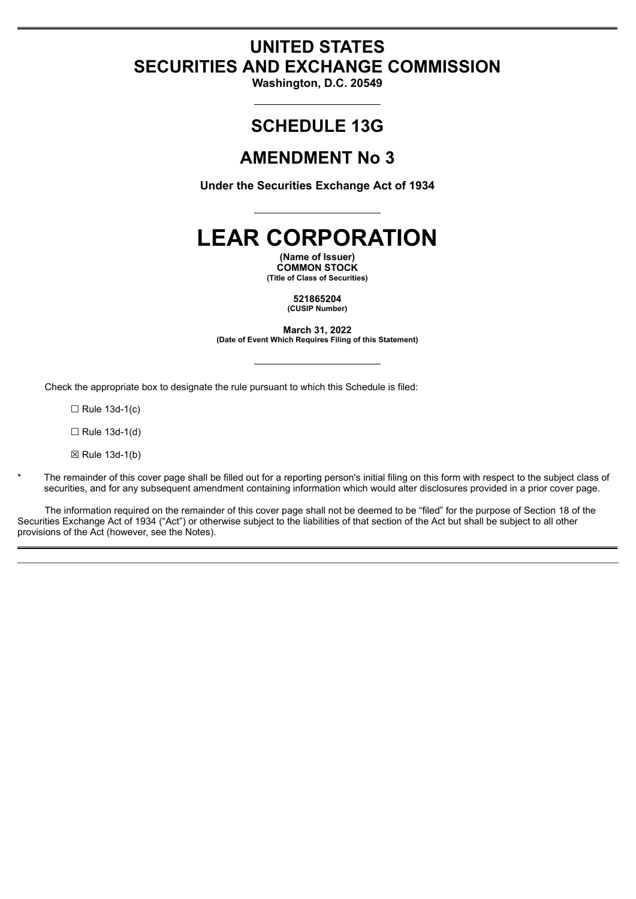# **UNITED STATES SECURITIES AND EXCHANGE COMMISSION**

**Washington, D.C. 20549**

# **SCHEDULE 13G**

# **AMENDMENT No 3**

**Under the Securities Exchange Act of 1934**

# **LEAR CORPORATION**

**(Name of Issuer) COMMON STOCK (Title of Class of Securities)**

> **521865204 (CUSIP Number)**

**March 31, 2022 (Date of Event Which Requires Filing of this Statement)**

Check the appropriate box to designate the rule pursuant to which this Schedule is filed:

 $\Box$  Rule 13d-1(c)

☐ Rule 13d-1(d)

☒ Rule 13d-1(b)

The remainder of this cover page shall be filled out for a reporting person's initial filing on this form with respect to the subject class of securities, and for any subsequent amendment containing information which would alter disclosures provided in a prior cover page.

The information required on the remainder of this cover page shall not be deemed to be "filed" for the purpose of Section 18 of the Securities Exchange Act of 1934 ("Act") or otherwise subject to the liabilities of that section of the Act but shall be subject to all other provisions of the Act (however, see the Notes).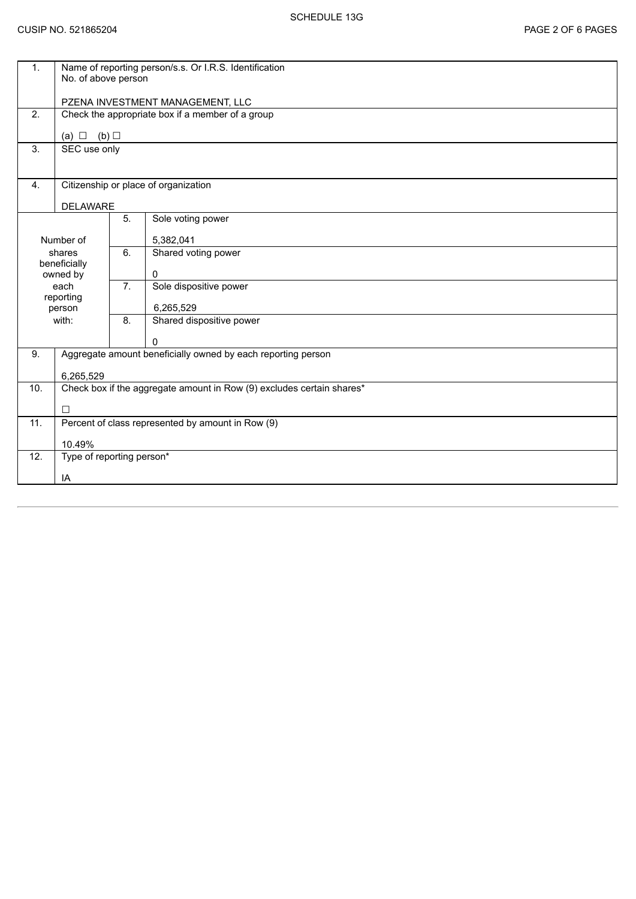| 1.                  | Name of reporting person/s.s. Or I.R.S. Identification<br>No. of above person |                                                   |                          |  |  |  |
|---------------------|-------------------------------------------------------------------------------|---------------------------------------------------|--------------------------|--|--|--|
|                     | PZENA INVESTMENT MANAGEMENT, LLC                                              |                                                   |                          |  |  |  |
| 2.                  | Check the appropriate box if a member of a group                              |                                                   |                          |  |  |  |
|                     | (a) $\Box$ (b) $\Box$                                                         |                                                   |                          |  |  |  |
| 3.                  | SEC use only                                                                  |                                                   |                          |  |  |  |
|                     |                                                                               |                                                   |                          |  |  |  |
| 4.                  | Citizenship or place of organization                                          |                                                   |                          |  |  |  |
|                     | <b>DELAWARE</b>                                                               |                                                   |                          |  |  |  |
|                     |                                                                               | 5.                                                | Sole voting power        |  |  |  |
| Number of           |                                                                               |                                                   | 5,382,041                |  |  |  |
| shares              |                                                                               | 6.                                                | Shared voting power      |  |  |  |
|                     | beneficially<br>owned by                                                      |                                                   | 0                        |  |  |  |
| each                |                                                                               | 7.                                                | Sole dispositive power   |  |  |  |
| reporting<br>person |                                                                               |                                                   | 6,265,529                |  |  |  |
| with:               |                                                                               | 8.                                                | Shared dispositive power |  |  |  |
|                     |                                                                               |                                                   | 0                        |  |  |  |
| 9.                  | Aggregate amount beneficially owned by each reporting person                  |                                                   |                          |  |  |  |
|                     | 6,265,529                                                                     |                                                   |                          |  |  |  |
| 10.                 | Check box if the aggregate amount in Row (9) excludes certain shares*         |                                                   |                          |  |  |  |
|                     | $\Box$                                                                        |                                                   |                          |  |  |  |
| 11.                 |                                                                               | Percent of class represented by amount in Row (9) |                          |  |  |  |
|                     | 10.49%                                                                        |                                                   |                          |  |  |  |
| 12.                 | Type of reporting person*                                                     |                                                   |                          |  |  |  |
|                     | IA                                                                            |                                                   |                          |  |  |  |
|                     |                                                                               |                                                   |                          |  |  |  |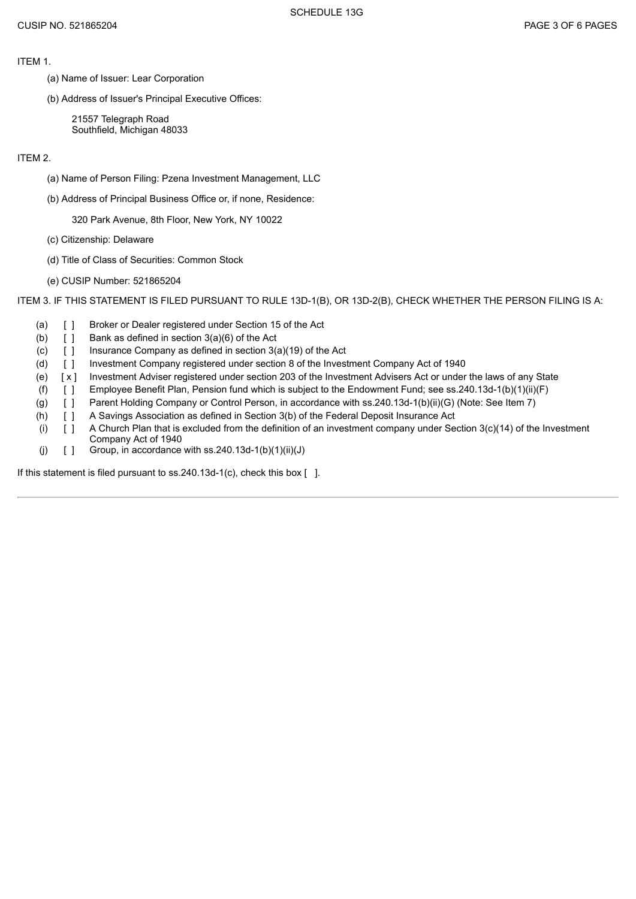ITEM 1.

- (a) Name of Issuer: Lear Corporation
- (b) Address of Issuer's Principal Executive Offices:

21557 Telegraph Road Southfield, Michigan 48033

## ITEM 2.

- (a) Name of Person Filing: Pzena Investment Management, LLC
- (b) Address of Principal Business Office or, if none, Residence:

320 Park Avenue, 8th Floor, New York, NY 10022

- (c) Citizenship: Delaware
- (d) Title of Class of Securities: Common Stock
- (e) CUSIP Number: 521865204

ITEM 3. IF THIS STATEMENT IS FILED PURSUANT TO RULE 13D-1(B), OR 13D-2(B), CHECK WHETHER THE PERSON FILING IS A:

- (a) [ ] Broker or Dealer registered under Section 15 of the Act
- (b)  $\begin{bmatrix} \end{bmatrix}$  Bank as defined in section 3(a)(6) of the Act
- (c)  $\begin{bmatrix} 1 \\ 1 \end{bmatrix}$  Insurance Company as defined in section 3(a)(19) of the Act
- (d) [ ] Investment Company registered under section 8 of the Investment Company Act of 1940
- (e) [ x ] Investment Adviser registered under section 203 of the Investment Advisers Act or under the laws of any State
- (f) [ ] Employee Benefit Plan, Pension fund which is subject to the Endowment Fund; see ss.240.13d-1(b)(1)(ii)(F)
- (g) [ ] Parent Holding Company or Control Person, in accordance with ss.240.13d-1(b)(ii)(G) (Note: See Item 7)
- (h) [ ] A Savings Association as defined in Section 3(b) of the Federal Deposit Insurance Act
- (i)  $[ ]$  A Church Plan that is excluded from the definition of an investment company under Section 3(c)(14) of the Investment Company Act of 1940
- (j)  $[ ]$  Group, in accordance with ss.240.13d-1(b)(1)(ii)(J)

If this statement is filed pursuant to ss.240.13d-1(c), check this box [ ].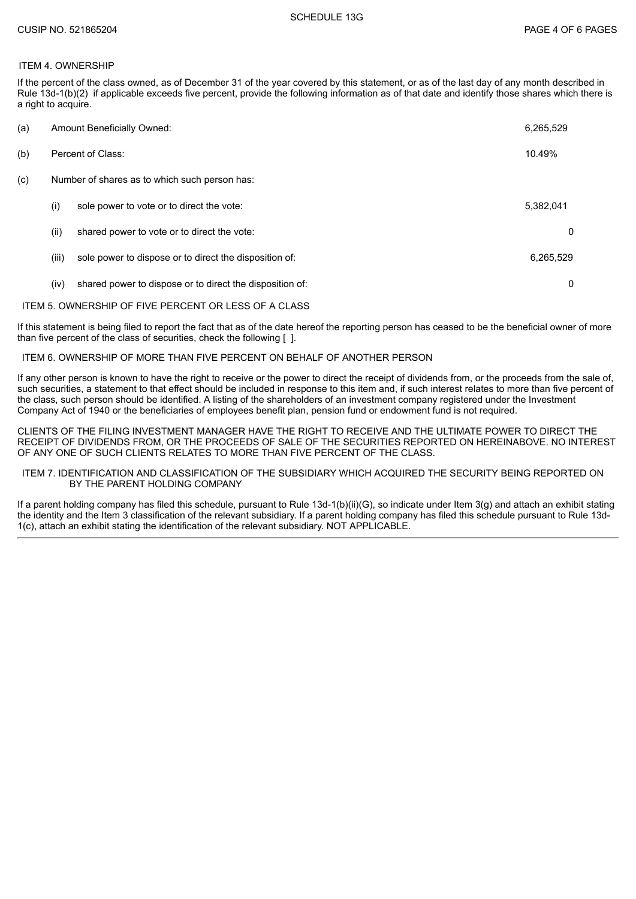## ITEM 4. OWNERSHIP

If the percent of the class owned, as of December 31 of the year covered by this statement, or as of the last day of any month described in Rule 13d-1(b)(2) if applicable exceeds five percent, provide the following information as of that date and identify those shares which there is a right to acquire.

| (a) |                                               | <b>Amount Beneficially Owned:</b>                        | 6,265,529 |  |
|-----|-----------------------------------------------|----------------------------------------------------------|-----------|--|
| (b) | Percent of Class:                             |                                                          |           |  |
| (c) | Number of shares as to which such person has: |                                                          |           |  |
|     | (i)                                           | sole power to vote or to direct the vote:                | 5,382,041 |  |
|     | (ii)                                          | shared power to vote or to direct the vote:              | 0         |  |
|     | (iii)                                         | sole power to dispose or to direct the disposition of:   | 6,265,529 |  |
|     | (iv)                                          | shared power to dispose or to direct the disposition of: | 0         |  |

#### ITEM 5. OWNERSHIP OF FIVE PERCENT OR LESS OF A CLASS

If this statement is being filed to report the fact that as of the date hereof the reporting person has ceased to be the beneficial owner of more than five percent of the class of securities, check the following [ ].

#### ITEM 6. OWNERSHIP OF MORE THAN FIVE PERCENT ON BEHALF OF ANOTHER PERSON

If any other person is known to have the right to receive or the power to direct the receipt of dividends from, or the proceeds from the sale of, such securities, a statement to that effect should be included in response to this item and, if such interest relates to more than five percent of the class, such person should be identified. A listing of the shareholders of an investment company registered under the Investment Company Act of 1940 or the beneficiaries of employees benefit plan, pension fund or endowment fund is not required.

CLIENTS OF THE FILING INVESTMENT MANAGER HAVE THE RIGHT TO RECEIVE AND THE ULTIMATE POWER TO DIRECT THE RECEIPT OF DIVIDENDS FROM, OR THE PROCEEDS OF SALE OF THE SECURITIES REPORTED ON HEREINABOVE. NO INTEREST OF ANY ONE OF SUCH CLIENTS RELATES TO MORE THAN FIVE PERCENT OF THE CLASS.

#### ITEM 7. IDENTIFICATION AND CLASSIFICATION OF THE SUBSIDIARY WHICH ACQUIRED THE SECURITY BEING REPORTED ON BY THE PARENT HOLDING COMPANY

If a parent holding company has filed this schedule, pursuant to Rule 13d-1(b)(ii)(G), so indicate under Item 3(g) and attach an exhibit stating the identity and the Item 3 classification of the relevant subsidiary. If a parent holding company has filed this schedule pursuant to Rule 13d-1(c), attach an exhibit stating the identification of the relevant subsidiary. NOT APPLICABLE.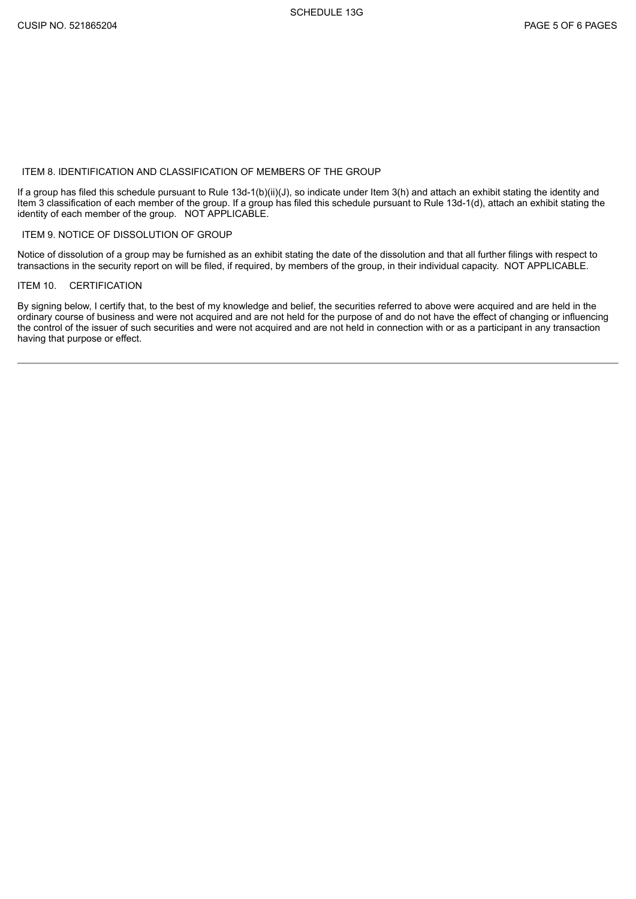## ITEM 8. IDENTIFICATION AND CLASSIFICATION OF MEMBERS OF THE GROUP

If a group has filed this schedule pursuant to Rule 13d-1(b)(ii)(J), so indicate under Item 3(h) and attach an exhibit stating the identity and Item 3 classification of each member of the group. If a group has filed this schedule pursuant to Rule 13d-1(d), attach an exhibit stating the identity of each member of the group. NOT APPLICABLE.

#### ITEM 9. NOTICE OF DISSOLUTION OF GROUP

Notice of dissolution of a group may be furnished as an exhibit stating the date of the dissolution and that all further filings with respect to transactions in the security report on will be filed, if required, by members of the group, in their individual capacity. NOT APPLICABLE.

## ITEM 10. CERTIFICATION

By signing below, I certify that, to the best of my knowledge and belief, the securities referred to above were acquired and are held in the ordinary course of business and were not acquired and are not held for the purpose of and do not have the effect of changing or influencing the control of the issuer of such securities and were not acquired and are not held in connection with or as a participant in any transaction having that purpose or effect.